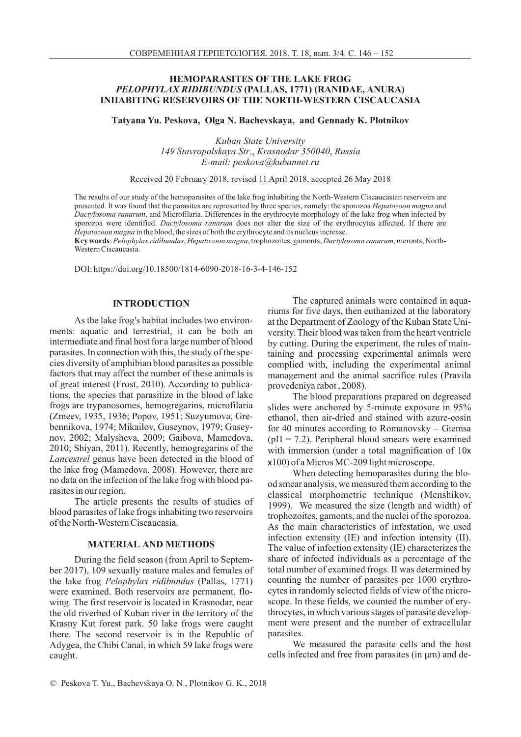## **HEMOPARASITES OF THE LAKE FROG** *PELOPHYLAX RIDIBUNDUS* (PALLAS, 1771) (RANIDAE, ANURA) **INHABITING RESERVOIRS OF THE NORTH-WESTERN CISCAUCASIA**

Tatyana Yu. Peskova, Olga N. Bachevskaya, and Gennady K. Plotnikov

*Kuban State University* 149 Stavropolskaya Str., Krasnodar 350040, Russia  $E$ -mail: peskova@kubannet.ru

Received 20 February 2018, revised 11 April 2018, accepted 26 May 2018

The results of our study of the hemoparasites of the lake frog inhabiting the North-Western Ciscaucasian reservoirs are presented. It was found that the parasites are represented by three species, namely: the sporozoa *Hepatozoon magna* and Dactylosoma ranarum, and Microfilaria. Differences in the erythrocyte morphology of the lake frog when infected by sporozoa were identified. *Dactylosoma ranarum* does not alter the size of the erythrocytes affected. If there are Hepatozoon magna in the blood, the sizes of both the erythrocyte and its nucleus increase.

Key words: Pelophylax ridibundus, Hepatozoon magna, trophozoites, gamonts, Dactylosoma ranarum, meronts, North-Western Ciscaucasia.

DOI: https://doi.org/10.18500/1814-6090-2018-16-3-4-146-152

### **INTRODUCTION**

As the lake frog's habitat includes two environ ments: aquatic and terrestrial, it can be both an intermediate and final host for a large number of blood parasites. In connection with this, the study of the spe cies diversity of amphibian blood parasites as possible factors that may affect the number of these animals is of great interest (Frost, 2010). According to publica tions, the species that parasitize in the blood of lake frogs are trypanosomes, hemogregarins, microfilaria (Zmeev, 1935, 1936; Popov, 1951; Suzyumova, Grebennikova, 1974; Mikailov, Guseynov, 1979; Gusey-2010; Shiyan, 2011). Recently, hemogregarins of the Lancestrel genus have been detected in the blood of the lake frog (Mamedova, 2008). However, there are no data on the infection of the lake frog with blood pa rasites in our region. nov, 2002; Malysheva, 2009; Gaibova, Mamedova,

The article presents the results of studies of blood parasites of lake frogs inhabiting two reservoirs of the North-Western Ciscaucasia.

### **MATERIAL AND METHODS**

During the field season (from April to Septem ber 2017), 109 sexually mature males and females of the lake frog (Pallas, 1771) *Pelophylax ridibundus* there. The second reservoir is in the Republic of Adygea, the Chibi Canal, in which 59 lake frogs were caught. were examined. Both reservoirs are permanent, flowing. The first reservoir is located in Krasnodar, near the old riverbed of Kuban river in the territory of the Krasny Kut forest park. 50 lake frogs were caught

The captured animals were contained in aqua riums for five days, then euthanized at the laboratory at the Department of Zoology of the Kuban State Uni versity. Their blood was taken from the heart ventricle by cutting. During the experiment, the rules of main taining and processing experimental animals were complied with, including the experimental animal management and the animal sacrifice rules (Pravila provedeniya rabot , 2008 ).

The blood preparations prepared on degreased slides were anchored by 5-minute exposure in 95% ethanol, then air-dried and stained with azure-eosin for 40 minutes according to Romanovsky  $-$  Giemsa  $(pH = 7.2)$ . Peripheral blood smears were examined with immersion (under a total magnification of 10x 100) of a Micros MC-209 light microscope. x

When detecting hemoparasites during the blo od smear analysis, we measured them according to the classical morphometric technique (Menshikov, 1999). We measured the size (length and width) of trophozoites, gamonts, and the nuclei of the sporozoa. As the main characteristics of infestation, we used infection extensity (IE) and infection intensity (II). The value of infection extensity (IE) characterizes the share of infected individuals as a percentage of the total number of examined frogs. II was determined by ment were present and the number of extracellular parasites. counting the number of parasites per 1000 erythrocytes in randomly selected fields of view of the microscope. In these fields, we counted the number of erythrocytes, in which various stages of parasite develop-

cells infected and free from parasites (in  $\mu$ m) and de-We measured the parasite cells and the host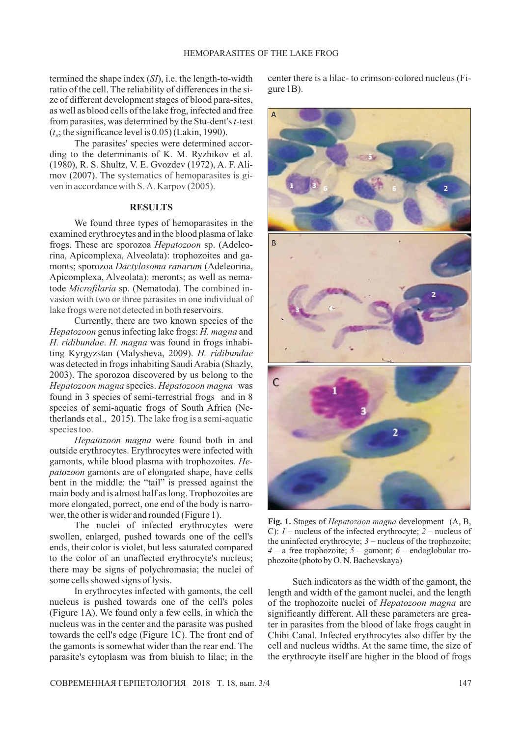termined the shape index (SI), i.e. the length-to-width ratio of the cell. The reliability of differences in the si ze of different development stages of blood para-sites, from parasites, was determined by the Stu-dent's t-test  $(t_{st})$ ; the significance level is 0.05) (Lakin, 1990). as well as blood cells of the lake frog, infected and free

The parasites' species were determined accor-- (1980), R. S. Shultz, V. E. Gvozdev (1972), A. F. Ali mov (2007). The systematics of hemoparasites is giding to the determinants of K. M. Ryzhikov et al. ven in accordance with S. A. Karpov (2005).

# **RESULTS**

We found three types of hemoparasites in the examined erythrocytes and in the blood plasma of lake frogs. These are sporozoa Hepatozoon sp. (Adeleorina , Apicomplexa, Alveolata): trophozoites and galake frogs were not detected in both reservoirs. monts; sporozoa Dactylosoma ranarum (Adeleorina, tode Microfilaria sp. (Nematoda). The combined in-Apicomplexa, Alveolata): meronts; as well as nemavasion with two or three parasites in one individual of

Currently, there are two known species of the Hepatozoon genus infecting lake frogs: H. magna and H. ridibundae. H. magna was found in frogs inhabiting Kyrgyzstan (Malysheva, 2009). H. ridibundae Hepatozoon magna species. Hepatozoon magna was was detected in frogs inhabiting Saudi Arabia (Shazly, 2003). The sporozoa discovered by us belong to the found in 3 species of semi-terrestrial frogs and in 8 species of semi-aquatic frogs of South Africa (Netherlands et al., 2015). The lake frog is a semi-aquatic species too.

bent in the middle: the "tail" is pressed against the *Hepatozoon magna* were found both in and gamonts, while blood plasma with trophozoites. He*patozoon* gamonts are of elongated shape, have cells outside erythrocytes. Erythrocytes were infected with main body and is almost half as long. Trophozoites are more elongated, porrect, one end of the body is narrower, the other is wider and rounded (Figure 1).

The nuclei of infected erythrocytes were swollen, enlarged, pushed towards one of the cell's ends, their color is violet, but less saturated compared to the color of an unaffected erythrocyte's nucleus; there may be signs of polychromasia; the nuclei of some cells showed signs of lysis.

In erythrocytes infected with gamonts, the cell nucleus is pushed towards one of the cell's poles (Figure 1A). We found only a few cells, in which the nucleus was in the center and the parasite was pushed towards the cell's edge (Figure 1C). The front end of the gamonts is somewhat wider than the rear end. The parasite's cytoplasm was from bluish to lilac; in the

center there is a lilac- to crimson-colored nucleus (Fi gure 1B).



Fig. 1. Stages of *Hepatozoon magna* development (A, B, C):  $1$  – nucleus of the infected erythrocyte;  $2$  – nucleus of the uninfected erythrocyte;  $3$  – nucleus of the trophozoite;  $4 - a$  free trophozoite;  $5 -$  gamont;  $6 -$  endoglobular trophozoite (photo by O. N. Bachevskaya)

Such indicators as the width of the gamont, the length and width of the gamont nuclei, and the length of the trophozoite nuclei of *Hepatozoon magna* are significantly different. All these parameters are greater in parasites from the blood of lake frogs caught in Chibi Canal. Infected erythrocytes also differ by the cell and nucleus widths. At the same time, the size of the erythrocyte itself are higher in the blood of frogs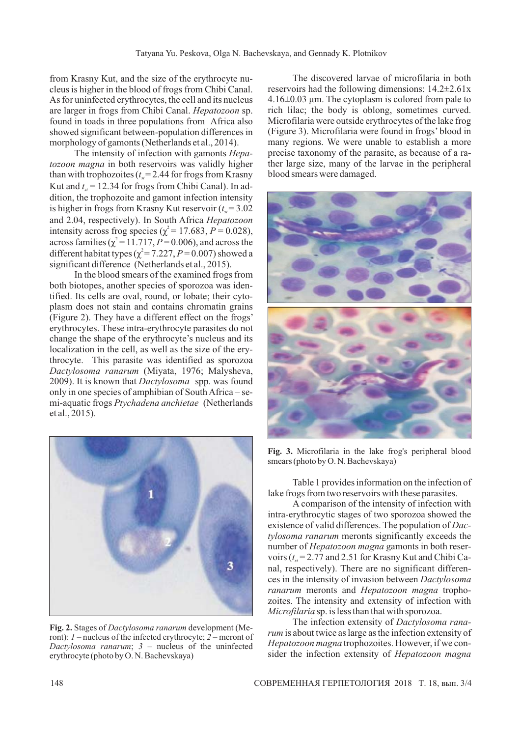from Krasny Kut, and the size of the erythrocyte nu cleus is higher in the blood of frogs from Chibi Canal. As for uninfected erythrocytes, the cell and its nucleus are larger in frogs from Chibi Canal. Hepatozoon sp. found in toads in three populations from Africa also showed significant between-population differences in morphology of gamonts (Netherlands et al., 2014).

The intensity of infection with gamonts *Hepa*tozoon magna in both reservoirs was validly higher than with trophozoites  $(t_{st} = 2.44$  for frogs from Krasny Kut and  $t_{st} = 12.34$  for frogs from Chibi Canal). In addition, the trophozoite and gamont infection intensity is higher in frogs from Krasny Kut reservoir  $(t_{st} = 3.02$ and 2.04, respectively). In South Africa *Hepatozoon* intensity across frog species ( $\chi^2$  = 17.683, *P* = 0.028), across families ( $\chi^2$  = 11.717, *P* = 0.006), and across the different habitat types ( $\chi^2$  = 7.227, *P* = 0.007) showed a significant difference (Netherlands et al., 2015).

In the blood smears of the examined frogs from both biotopes, another species of sporozoa was identified. Its cells are oval, round, or lobate; their cytoplasm does not stain and contains chromatin grains (Figure 2). They have a different effect on the frogs' erythrocytes. These intra-erythrocyte parasites do not change the shape of the erythrocyte's nucleus and its localization in the cell, as well as the size of the erythrocyte. This parasite was identified as sporozoa (Miyata, 1976; Malysheva, *Dactylosoma ranarum* 2009). It is known that *Dactylosoma* spp. was found only in one species of amphibian of South Africa – semi-aquatic frogs Ptychadena anchietae (Netherlands et al., 2015).



Fig. 2. Stages of Dactylosoma ranarum development (Meront): *1* – nucleus of the infected erythrocyte; 2 – meront of Dactylosoma ranarum;  $3$  – nucleus of the uninfected erythrocyte (photo by O. N. Bachevskaya)

The discovered larvae of microfilaria in both reservoirs had the following dimensions: 14.2±2.61 x  $4.16\pm0.03$  µm. The cytoplasm is colored from pale to rich lilac; the body is oblong, sometimes curved. Microfilaria were outside erythrocytes of the lake frog (Figure 3). Microfilaria were found in frogs' blood in many regions. We were unable to establish a more precise taxonomy of the parasite, as because of a rather large size, many of the larvae in the peripheral blood smears were damaged.



**Fig. 3.** Microfilaria in the lake frog's peripheral blood smears (photo by O. N. Bachevskaya)

Table 1 provides information on the infection of lake frogs from two reservoirs with these parasites.

A comparison of the intensity of infection with intra-erythrocytic stages of two sporozoa showed the existence of valid differences. The population of *Dac*tylosoma ranarum meronts significantly exceeds the number of Hepatozoon magna gamonts in both reservoirs  $(t_{st} = 2.77$  and 2.51 for Krasny Kut and Chibi Canal, respectively). There are no significant differen ces in the intensity of invasion between *Dactylosoma* ranarum meronts and Hepatozoon magna trophozoites. The intensity and extensity of infection with Microfilaria sp. is less than that with sporozoa.

The infection extensity of *Dactylosoma ranarum* is about twice as large as the infection extensity of Hepatozoon magna trophozoites. However, if we consider the infection extensity of *Hepatozoon magna*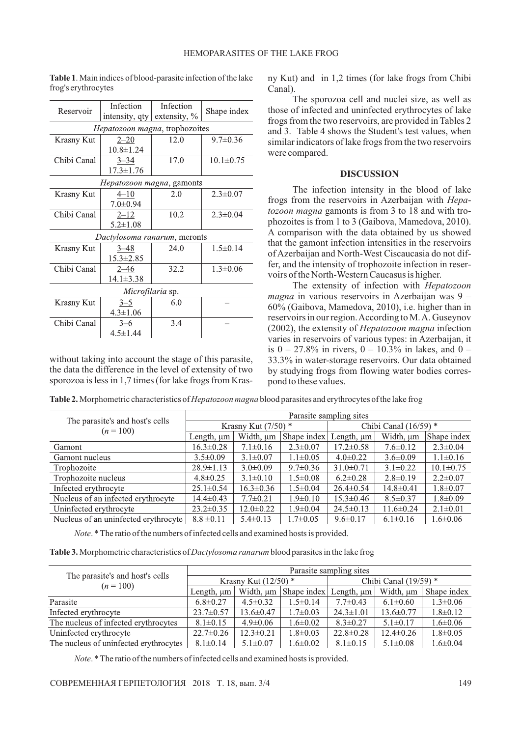| Reservoir                         | Infection<br>intensity, qty | Infection<br>extensity, % | Shape index     |  |  |
|-----------------------------------|-----------------------------|---------------------------|-----------------|--|--|
| Hepatozoon magna, trophozoites    |                             |                           |                 |  |  |
| Krasny Kut                        | $2 - 20$                    | 12.0                      | $9.7 \pm 0.36$  |  |  |
|                                   | $10.8 \pm 1.24$             |                           |                 |  |  |
| Chibi Canal                       | $3 - 34$                    | 17.0                      | $10.1 \pm 0.75$ |  |  |
|                                   | $17.3 \pm 1.76$             |                           |                 |  |  |
| <i>Hepatozoon magna</i> , gamonts |                             |                           |                 |  |  |
| Krasny Kut                        | $4 - 10$                    | 2.0                       | $2.3 \pm 0.07$  |  |  |
|                                   | $7.0 \pm 0.94$              |                           |                 |  |  |
| Chibi Canal                       | $2 - 12$                    | 10.2                      | $2.3 \pm 0.04$  |  |  |
|                                   | $5.2 \pm 1.08$              |                           |                 |  |  |
| Dactylosoma ranarum, meronts      |                             |                           |                 |  |  |
| Krasny Kut                        | $3 - 48$                    | 24.0                      | $1.5 \pm 0.14$  |  |  |
|                                   | $15.3 \pm 2.85$             |                           |                 |  |  |
| Chibi Canal                       | $2 - 46$                    | 32.2                      | $1.3 \pm 0.06$  |  |  |
|                                   | $14.1 \pm 3.38$             |                           |                 |  |  |
| Microfilaria sp.                  |                             |                           |                 |  |  |
| Krasny Kut                        | $3 - 5$                     | 6.0                       |                 |  |  |
|                                   | $4.3 \pm 1.06$              |                           |                 |  |  |
| Chibi Canal                       | $3 - 6$                     | 3.4                       |                 |  |  |
|                                   | $4.5 \pm 1.44$              |                           |                 |  |  |

**Table 1**. Main indices of blood-parasite infection of the lake frog's erythrocytes

without taking into account the stage of this parasite, the data the difference in the level of extensity of two sporozoa is less in 1,7 times (for lake frogs from Krasny Kut) and in 1,2 times (for lake frogs from Chibi Canal).

The sporozoa cell and nuclei size, as well as those of infected and uninfected erythrocytes of lake frogs from the two reservoirs, are provided in Tables 2 and 3. Table 4 shows the Student's test values, when similar indicators of lake frogs from the two reservoirs were compared.

## **DISCUSSION**

The infection intensity in the blood of lake frogs from the reservoirs in Azerbaijan with *Hepa*tozoon magna gamonts is from 3 to 18 and with trophozoites is from 1 to 3 (Gaibova, Mamedova, 2010). A comparison with the data obtained by us showed that the gamont infection intensities in the reservoirs of Azerbaijan and North-West Ciscaucasia do not dif fer, and the intensity of trophozoite infection in reservoirs of the North-Western Caucasus is higher.

The extensity of infection with *Hepatozoon* magna in various reservoirs in Azerbaijan was 9 -60% (Gaibova, Mamedova, 2010), i.е. higher than in reservoirs in our region.According to M.A. Guseynov (2002), the extensity of *Hepatozoon magna* infection varies in reservoirs of various types: in Azerbaijan, it is  $0 - 27.8\%$  in rivers,  $0 - 10.3\%$  in lakes, and  $0 -$ 33.3% in water-storage reservoirs. Our data obtained by studying frogs from flowing water bodies corres pond to these values.

**Table 2.** Morphometric characteristics of *Hepatozoon magna* blood parasites and erythrocytes of the lake frog

|                                              | Parasite sampling sites |                 |                         |                 |                 |                 |
|----------------------------------------------|-------------------------|-----------------|-------------------------|-----------------|-----------------|-----------------|
| The parasite's and host's cells<br>$(n=100)$ | Krasny Kut $(7/50)$ *   |                 | Chibi Canal $(16/59)$ * |                 |                 |                 |
|                                              | Length, $\mu$ m         | Width, µm       | Shape index             | Length, $\mu$ m | Width, µm       | Shape index     |
| Gamont                                       | $16.3 \pm 0.28$         | $7.1 \pm 0.16$  | $2.3 \pm 0.07$          | $17.2 \pm 0.58$ | $7.6 \pm 0.12$  | $2.3 \pm 0.04$  |
| Gamont nucleus                               | $3.5 \pm 0.09$          | $3.1 \pm 0.07$  | $1.1 \pm 0.05$          | $4.0 \pm 0.22$  | $3.6 \pm 0.09$  | $1.1 \pm 0.16$  |
| Trophozoite                                  | $28.9 \pm 1.13$         | $3.0 \pm 0.09$  | $9.7 \pm 0.36$          | $31.0 \pm 0.71$ | $3.1 \pm 0.22$  | $10.1 \pm 0.75$ |
| Trophozoite nucleus                          | $4.8 \pm 0.25$          | $3.1 \pm 0.10$  | $1.5 \pm 0.08$          | $6.2 \pm 0.28$  | $2.8 \pm 0.19$  | $2.2 \pm 0.07$  |
| Infected erythrocyte                         | $25.1 \pm 0.54$         | $16.3 \pm 0.36$ | $1.5 \pm 0.04$          | $26.4 \pm 0.54$ | $14.8 \pm 0.41$ | $1.8 \pm 0.07$  |
| Nucleus of an infected erythrocyte           | $14.4 \pm 0.43$         | $7.7 \pm 0.21$  | $1.9 \pm 0.10$          | $15.3 \pm 0.46$ | $8.5 \pm 0.37$  | $1.8 \pm 0.09$  |
| Uninfected erythrocyte                       | $23.2 \pm 0.35$         | $12.0 \pm 0.22$ | $1.9 \pm 0.04$          | $24.5 \pm 0.13$ | $11.6 \pm 0.24$ | $2.1 \pm 0.01$  |
| Nucleus of an uninfected erythrocyte         | $8.8 \pm 0.11$          | $5.4 \pm 0.13$  | $1.7 \pm 0.05$          | $9.6 \pm 0.17$  | $6.1 \pm 0.16$  | $1.6 \pm 0.06$  |

*Note*. \* The ratio of the numbers of infected cells and examined hosts is provided.

**Table 3.** Morphometric characteristics of *Dactylosoma ranarum* blood parasites in the lake frog

|                                              | Parasite sampling sites |                 |                                            |                 |                 |                |
|----------------------------------------------|-------------------------|-----------------|--------------------------------------------|-----------------|-----------------|----------------|
| The parasite's and host's cells<br>$(n=100)$ | Krasny Kut $(12/50)$ *  |                 | Chibi Canal $(19/59)$ *                    |                 |                 |                |
|                                              | Length, $\mu$ m         |                 | Width, $\mu$ m Shape index Length, $\mu$ m |                 | Width, µm       | Shape index    |
| Parasite                                     | $6.8 \pm 0.27$          | $4.5 \pm 0.32$  | $1.5 \pm 0.14$                             | $7.7 \pm 0.43$  | $6.1 \pm 0.60$  | $1.3 \pm 0.06$ |
| Infected erythrocyte                         | $23.7 \pm 0.57$         | $13.6 \pm 0.47$ | $1.7 \pm 0.03$                             | $24.3 \pm 1.01$ | $13.6 \pm 0.77$ | $1.8 \pm 0.12$ |
| The nucleus of infected erythrocytes         | $8.1 \pm 0.15$          | $4.9 \pm 0.06$  | $1.6 \pm 0.02$                             | $8.3 \pm 0.27$  | $5.1 \pm 0.17$  | $1.6 \pm 0.06$ |
| Uninfected erythrocyte                       | $22.7 \pm 0.26$         | $12.3 \pm 0.21$ | $1.8 \pm 0.03$                             | $22.8 \pm 0.28$ | $12.4 \pm 0.26$ | $1.8 \pm 0.05$ |
| The nucleus of uninfected erythrocytes       | $8.1 \pm 0.14$          | $5.1 \pm 0.07$  | $1.6 \pm 0.02$                             | $8.1 \pm 0.15$  | $5.1 \pm 0.08$  | $1.6 \pm 0.04$ |

*Note*. \* The ratio of the numbers of infected cells and examined hosts is provided.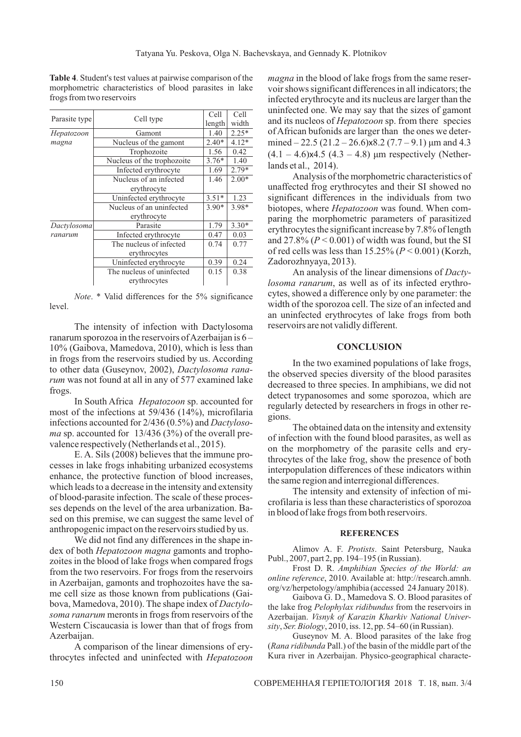**Table 4**. Student's test values at pairwise comparison of the morphometric characteristics of blood parasites in lake frogs from two reservoirs

| Parasite type |                                       | Cell    | Cell    |
|---------------|---------------------------------------|---------|---------|
|               | Cell type                             | length  | width   |
| Hepatozoon    | Gamont                                | 1.40    | $2.25*$ |
| magna         | Nucleus of the gamont                 | $2.40*$ | $4.12*$ |
|               | Trophozoite                           | 1.56    | 0.42    |
|               | Nucleus of the trophozoite            |         | 1.40    |
|               | Infected erythrocyte                  | 1.69    | $2.79*$ |
|               | Nucleus of an infected                |         | $2.00*$ |
|               | erythrocyte<br>Uninfected erythrocyte |         |         |
|               |                                       |         | 1.23    |
|               | Nucleus of an uninfected              | $3.90*$ | 3.98*   |
|               | erythrocyte                           |         |         |
| Dactylosoma   | Parasite                              | 1.79    | $3.30*$ |
| ranarum       | Infected erythrocyte                  | 0.47    | 0.03    |
|               | The nucleus of infected               | 0.74    | 0.77    |
|               | erythrocytes                          |         |         |
|               | Uninfected erythrocyte                | 0.39    | 0.24    |
|               | The nucleus of uninfected             | 0.15    | 0.38    |
|               | erythrocytes                          |         |         |

*Note*. \* Valid differences for the 5% significance level.

The intensity of infection with Dactylosoma ranarum sporozoa in the reservoirs of Azerbaijan is 6 – 10% (Gaibova, Mamedova, 2010), which is less than in frogs from the reservoirs studied by us. According to other data (Guseynov, 2002), *Dactylosoma rana*  rum was not found at all in any of 577 examined lake frogs.

In South Africa Hepatozoon sp. accounted for most of the infections at 59/436 (14%), microfilaria infections accounted for 2/436 (0.5%) and *Dactyloso*  ma sp. accounted for 13/436 (3%) of the overall prevalence respectively (Netherlands et al., 2015).

E. A. Sils (2008) believes that the immune pro cesses in lake frogs inhabiting urbanized ecosystems enhance, the protective function of blood increases, which leads to a decrease in the intensity and extensity of blood-parasite infection. The scale of these processes depends on the level of the area urbanization. Based on this premise, we can suggest the same level of anthropogenic impact on the reservoirs studied by us.

We did not find any differences in the shape index of both Hepatozoon magna gamonts and trophobova, Mamedova, 2010). The shape index of *Dactylo*zoites in the blood of lake frogs when compared frogs from the two reservoirs. For frogs from the reservoirs in Azerbaijan, gamonts and trophozoites have the same cell size as those known from publications (Gaisoma ranarum meronts in frogs from reservoirs of the Western Ciscaucasia is lower than that of frogs from Azerbaijan.

A comparison of the linear dimensions of erythrocytes infected and uninfected with *Hepatozoon*

*magna* in the blood of lake frogs from the same reserand its nucleos of *Hepatozoon* sp. from there species voir shows significant differences in all indicators; the infected erythrocyte and its nucleus are larger than the uninfected one. We may say that the sizes of gamont of African bufonids are larger than the ones we determined  $-22.5(21.2 - 26.6) \times 8.2(7.7 - 9.1) \mu m$  and 4.3  $(4.1 - 4.6) \times 4.5 (4.3 - 4.8) \text{ µm respectively (Nether-}$ lands et al., 2014).

Analysis of the morphometric characteristics of unaffected frog erythrocytes and their SI showed no significant differences in the individuals from two biotopes, where *Hepatozoon* was found. When comparing the morphometric parameters of parasitized erythrocytes the significant increase by 7.8% of length and  $27.8\%$  ( $P < 0.001$ ) of width was found, but the SI of red cells was less than  $15.25\%$  ( $P < 0.001$ ) (Korzh, Zadorozhnyaya, 2013).

An analysis of the linear dimensions of *Dacty*  losoma ranarum, as well as of its infected erythrocytes, showed a difference only by one parameter: the width of the sporozoa cell. The size of an infected and an uninfected erythrocytes of lake frogs from both reservoirs are not validly different.

### **CONCLUSION**

In the two examined populations of lake frogs, the observed species diversity of the blood parasites decreased to three species. In amphibians, we did not detect trypanosomes and some sporozoa, which are regularly detected by researchers in frogs in other regions.

The obtained data on the intensity and extensity of infection with the found blood parasites, as well as on the morphometry of the parasite cells and erythrocytes of the lake frog, show the presence of both interpopulation differences of these indicators within the same region and interregional differences.

The intensity and extensity of infection of microfilaria is less than these characteristics of sporozoa in blood of lake frogs from both reservoirs.

### **REFERENCES**

Alimov A. F. Protists. Saint Petersburg, Nauka Publ., 2007, part 2, pp. 194–195 (in Russian).

Frost D. R. *Amphibian Species of the World: an* 2010. Available at: http://research.amnh. *online reference* , org/vz/herpetology/amphibia (accessed 24 January 2018).

Gaibova G. D., Mamedova S. O. Blood parasites of the lake frog Pelophylax ridibundus from the reservoirs in Azerbaijan. *Visnyk of Karazin Kharkiv National Univer*sity, Ser. Biology, 2010, iss. 12, pp. 54–60 (in Russian).

Guseynov M. A. Blood parasites of the lake frog (Rana ridibunda Pall.) of the basin of the middle part of the Kura river in Azerbaijan. Physico-geographical characte -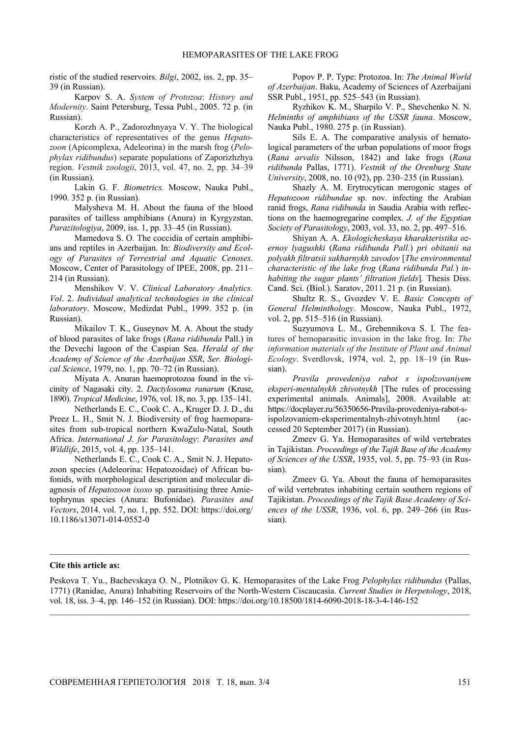ristic of the studied reservoirs. *Bilgi*, 2002, iss. 2, pp. 35– 39 (in Russian).

Karpov S. A. *System of Protozoa*: *History and Modernity*. Saint Petersburg, Tessa Publ., 2005. 72 p. (in Russian).

Korzh A. P., Zadorozhnyaya V. Y. The biological characteristics of representatives of the genus *Hepatozoon* (Apicomplexa, Adeleorina) in the marsh frog (*Pelophylax ridibundus*) separate populations of Zaporizhzhya region. *Vestnik zoologii*, 2013, vol. 47, no. 2, pp. 34–39 (in Russian).

Lakin G. F. *Biometrics.* Мoscow, Nauka Publ., 1990. 352 p. (in Russian).

Malysheva M. H. About the fauna of the blood parasites of tailless amphibians (Anura) in Kyrgyzstan. *Parazitologiya*, 2009, iss. 1, pp. 33–45 (in Russian).

Mamedova S. O. The coccidia of certain amphibians and reptiles in Azerbaijan. In: *Biodiversity and Ecology of Parasites of Terrestrial and Aquatic Cenoses*. Мoscow, Center of Parasitology of IPEE, 2008, pp. 211– 214 (in Russian).

Menshikov V. V. *Clinical Laboratory Analytics. Vol*. 2. *Individual analytical technologies in the clinical laboratory*. Мoscow, Medizdat Publ., 1999. 352 p. (in Russian).

Mikailov T. K., Guseynov M. A. About the study of blood parasites of lake frogs (*Rana ridibunda* Pall.) in the Devechi lagoon of the Caspian Sea. *Herald of the Academy of Science of the Azerbaijan SSR*, *Ser. Biological Science*, 1979, no. 1, pp. 70–72 (in Russian).

Miyata A. Anuran haemoprotozoa found in the vicinity of Nagasaki city. 2. *Dactylosoma ranarum* (Kruse, 1890). *Tropical Medicine*, 1976, vol. 18, no. 3, pp. 135–141.

Netherlands E. C., Cook C. A., Kruger D. J. D., du Preez L. H., Smit N. J. Biodiversity of frog haemoparasites from sub-tropical northern KwaZulu-Natal, South Africa. *International J. for Parasitology*: *Parasites and Wildlife*, 2015, vol. 4, pp. 135–141.

Netherlands E. C., Cook C. A., Smit N. J. Hepatozoon species (Adeleorina: Hepatozoidae) of African bufonids, with morphological description and molecular diagnosis of *Hepatozoon ixoxo* sp. parasitising three Amietophrynus species (Anura: Bufonidae)*. Parasites and Vectors*, 2014. vol. 7, no. 1, pp. 552. DOI: https://doi.org/ 10.1186/s13071-014-0552-0

Popov P. P. Type: Protozoa. In: *The Animal World of Azerbaijan*. Baku, Academy of Sciences of Azerbaijani SSR Publ., 1951, pp. 525–543 (in Russian).

Ryzhikov K. M., Sharpilo V. P., Shevchenko N. N. *Helminths of amphibians of the USSR fauna*. Moscow, Nauka Publ., 1980. 275 p. (in Russian).

Sils E. A. The comparative analysis of hematological parameters of the urban populations of moor frogs (*Rana arvalis* Nilsson, 1842) and lake frogs (*Rana ridibunda* Pallas, 1771). *Vestnik of the Orenburg State University*, 2008, no. 10 (92), pp. 230–235 (in Russian).

Shazly A. M. Erytrocytican merogonic stages of *Hepatozoon ridibundae* sp. nov. infecting the Arabian ranid frogs, *Rana ridibunda* in Saudia Arabia with reflections on the haemogregarine complex. *J. of the Egyptian Society of Parasitology*, 2003, vol. 33, no. 2, pp. 497–516.

Shiyan A. A. *Ekologicheskaya kharakteristika ozernoy lyagushki* (*Rana ridibunda Pall.*) *pri obitanii na polyakh filtratsii sakharnykh zavodov* [*The environmental characteristic of the lake frog* (*Rana ridibunda Pal.*) *inhabiting the sugar plants' filtration fields*]*.* Thesis Diss. Cand. Sci. (Biol.). Saratov, 2011. 21 p. (in Russian).

Shultz R. S., Gvozdev V. E. *Basic Concepts of General Helminthology*. Moscow, Nauka Publ., 1972, vol. 2, pp. 515–516 (in Russian).

Suzyumova L. M., Grebennikova S. I. The features of hemoparasitic invasion in the lake frog. In: *The information materials of the Institute of Plant and Animal Ecology*. Sverdlovsk, 1974, vol. 2, pp. 18–19 (in Russian).

*Pravila provedeniya rabot s ispolzovaniyem eksperi-mentalnykh zhivotnykh* [The rules of processing experimental animals. Animals], 2008. Available at: https://docplayer.ru/56350656-Pravila-provedeniya-rabot-sispolzovaniem-eksperimentalnyh-zhivotnyh.html (accessed 20 September 2017) (in Russian).

Zmeev G. Ya. Hemoparasites of wild vertebrates in Tajikistan. *Proceedings of the Tajik Base of the Academy of Sciences of the USSR*, 1935, vol. 5, pp. 75–93 (in Russian).

Zmeev G. Ya. About the fauna of hemoparasites of wild vertebrates inhabiting certain southern regions of Tajikistan. *Proceedings of the Tajik Base Academy of Sciences of the USSR*, 1936, vol. 6, pp. 249–266 (in Russian).

#### **Cite this article as:**

Peskova T. Yu., Bachevskaya O. N., Plotnikov G. K. Hemoparasites of the Lake Frog *Pelophylax ridibundus* (Pallas, 1771) (Ranidae, Anura) Inhabiting Reservoirs of the North-Western Ciscaucasia. *Current Studies in Herpetology*, 2018, vol. 18, iss. 3–4, pp. 146–152 (in Russian). DOI: https://doi.org/10.18500/1814-6090-2018-18-3-4-146-152

 $\mathcal{L}_\mathcal{L} = \{ \mathcal{L}_\mathcal{L} = \{ \mathcal{L}_\mathcal{L} = \{ \mathcal{L}_\mathcal{L} = \{ \mathcal{L}_\mathcal{L} = \{ \mathcal{L}_\mathcal{L} = \{ \mathcal{L}_\mathcal{L} = \{ \mathcal{L}_\mathcal{L} = \{ \mathcal{L}_\mathcal{L} = \{ \mathcal{L}_\mathcal{L} = \{ \mathcal{L}_\mathcal{L} = \{ \mathcal{L}_\mathcal{L} = \{ \mathcal{L}_\mathcal{L} = \{ \mathcal{L}_\mathcal{L} = \{ \mathcal{L}_\mathcal{$ 

 $\mathcal{L}_\mathcal{L} = \{ \mathcal{L}_\mathcal{L} = \{ \mathcal{L}_\mathcal{L} = \{ \mathcal{L}_\mathcal{L} = \{ \mathcal{L}_\mathcal{L} = \{ \mathcal{L}_\mathcal{L} = \{ \mathcal{L}_\mathcal{L} = \{ \mathcal{L}_\mathcal{L} = \{ \mathcal{L}_\mathcal{L} = \{ \mathcal{L}_\mathcal{L} = \{ \mathcal{L}_\mathcal{L} = \{ \mathcal{L}_\mathcal{L} = \{ \mathcal{L}_\mathcal{L} = \{ \mathcal{L}_\mathcal{L} = \{ \mathcal{L}_\mathcal{$